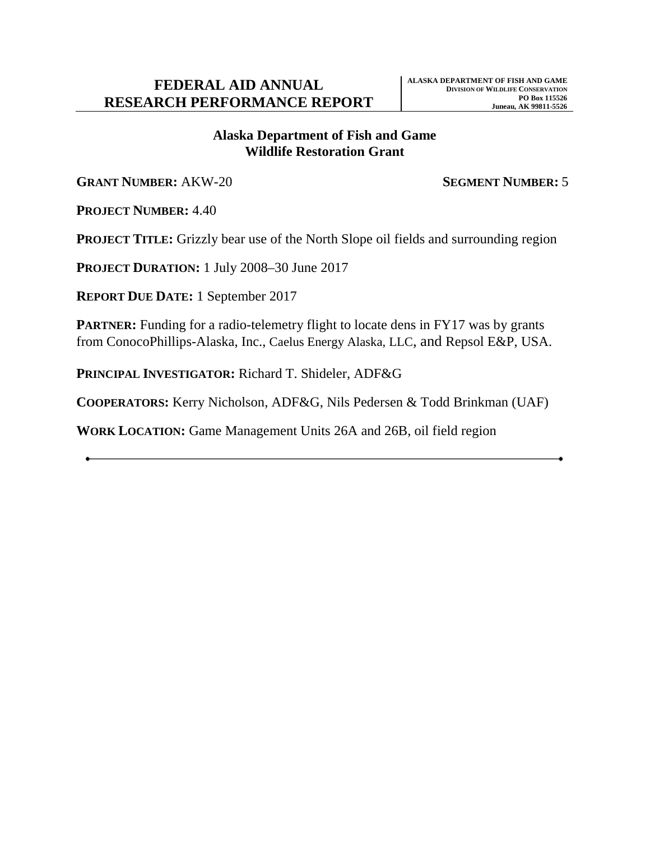# **Alaska Department of Fish and Game Wildlife Restoration Grant**

**GRANT NUMBER:** AKW-20 **SEGMENT NUMBER:** 5

**PROJECT NUMBER:** 4.40

**PROJECT TITLE:** Grizzly bear use of the North Slope oil fields and surrounding region

**PROJECT DURATION:** 1 July 2008–30 June 2017

**REPORT DUE DATE:** 1 September 2017

**PARTNER:** Funding for a radio-telemetry flight to locate dens in FY17 was by grants from ConocoPhillips-Alaska, Inc., Caelus Energy Alaska, LLC, and Repsol E&P, USA.

**PRINCIPAL INVESTIGATOR:** Richard T. Shideler, ADF&G

**COOPERATORS:** Kerry Nicholson, ADF&G, Nils Pedersen & Todd Brinkman (UAF)

**WORK LOCATION:** Game Management Units 26A and 26B, oil field region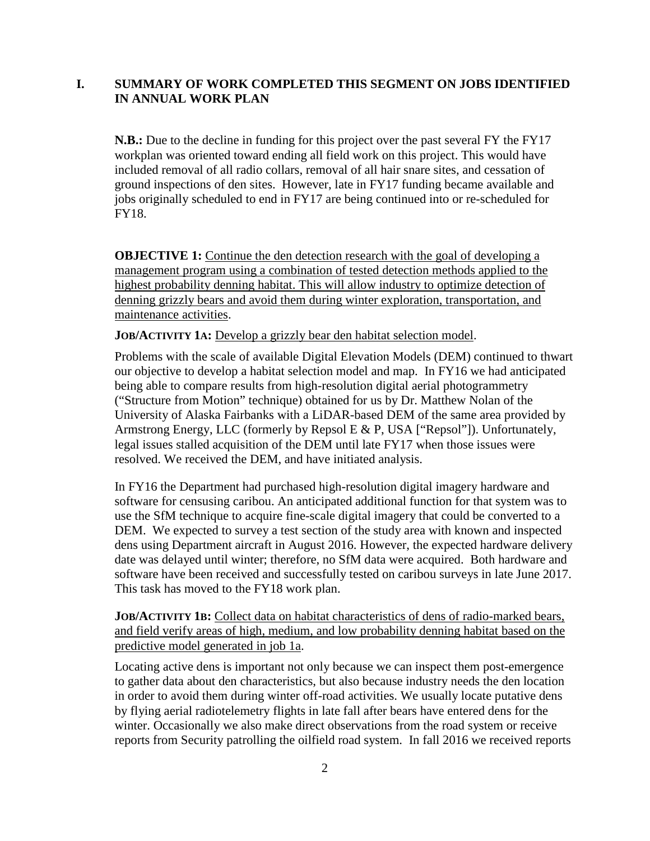# **I. SUMMARY OF WORK COMPLETED THIS SEGMENT ON JOBS IDENTIFIED IN ANNUAL WORK PLAN**

**N.B.:** Due to the decline in funding for this project over the past several FY the FY17 workplan was oriented toward ending all field work on this project. This would have included removal of all radio collars, removal of all hair snare sites, and cessation of ground inspections of den sites. However, late in FY17 funding became available and jobs originally scheduled to end in FY17 are being continued into or re-scheduled for FY18.

**OBJECTIVE 1:** Continue the den detection research with the goal of developing a management program using a combination of tested detection methods applied to the highest probability denning habitat. This will allow industry to optimize detection of denning grizzly bears and avoid them during winter exploration, transportation, and maintenance activities.

**JOB/ACTIVITY 1A:** Develop a grizzly bear den habitat selection model.

Problems with the scale of available Digital Elevation Models (DEM) continued to thwart our objective to develop a habitat selection model and map. In FY16 we had anticipated being able to compare results from high-resolution digital aerial photogrammetry ("Structure from Motion" technique) obtained for us by Dr. Matthew Nolan of the University of Alaska Fairbanks with a LiDAR-based DEM of the same area provided by Armstrong Energy, LLC (formerly by Repsol E & P, USA ["Repsol"]). Unfortunately, legal issues stalled acquisition of the DEM until late FY17 when those issues were resolved. We received the DEM, and have initiated analysis.

In FY16 the Department had purchased high-resolution digital imagery hardware and software for censusing caribou. An anticipated additional function for that system was to use the SfM technique to acquire fine-scale digital imagery that could be converted to a DEM. We expected to survey a test section of the study area with known and inspected dens using Department aircraft in August 2016. However, the expected hardware delivery date was delayed until winter; therefore, no SfM data were acquired. Both hardware and software have been received and successfully tested on caribou surveys in late June 2017. This task has moved to the FY18 work plan.

**JOB/ACTIVITY 1B:** Collect data on habitat characteristics of dens of radio-marked bears, and field verify areas of high, medium, and low probability denning habitat based on the predictive model generated in job 1a.

Locating active dens is important not only because we can inspect them post-emergence to gather data about den characteristics, but also because industry needs the den location in order to avoid them during winter off-road activities. We usually locate putative dens by flying aerial radiotelemetry flights in late fall after bears have entered dens for the winter. Occasionally we also make direct observations from the road system or receive reports from Security patrolling the oilfield road system. In fall 2016 we received reports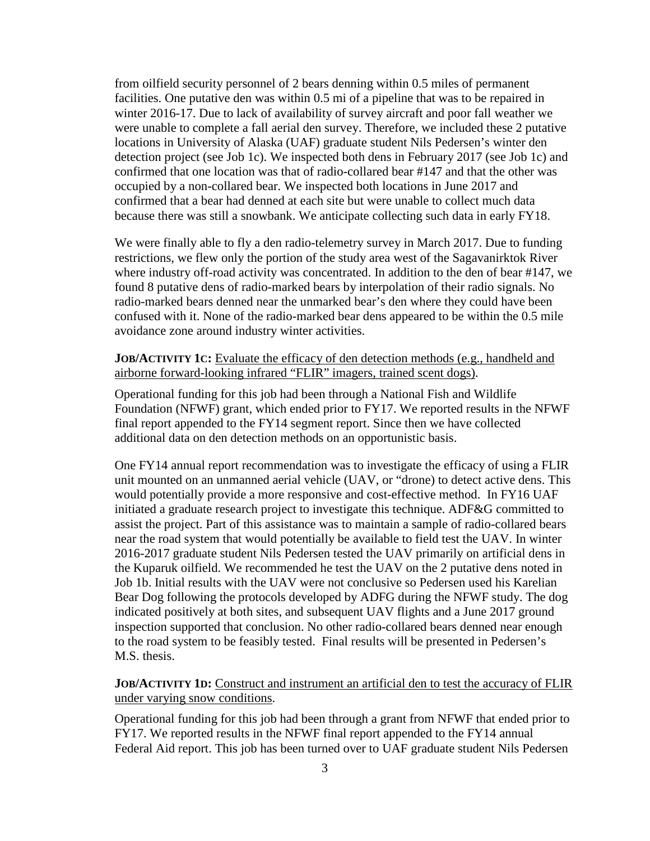from oilfield security personnel of 2 bears denning within 0.5 miles of permanent facilities. One putative den was within 0.5 mi of a pipeline that was to be repaired in winter 2016-17. Due to lack of availability of survey aircraft and poor fall weather we were unable to complete a fall aerial den survey. Therefore, we included these 2 putative locations in University of Alaska (UAF) graduate student Nils Pedersen's winter den detection project (see Job 1c). We inspected both dens in February 2017 (see Job 1c) and confirmed that one location was that of radio-collared bear #147 and that the other was occupied by a non-collared bear. We inspected both locations in June 2017 and confirmed that a bear had denned at each site but were unable to collect much data because there was still a snowbank. We anticipate collecting such data in early FY18.

We were finally able to fly a den radio-telemetry survey in March 2017. Due to funding restrictions, we flew only the portion of the study area west of the Sagavanirktok River where industry off-road activity was concentrated. In addition to the den of bear #147, we found 8 putative dens of radio-marked bears by interpolation of their radio signals. No radio-marked bears denned near the unmarked bear's den where they could have been confused with it. None of the radio-marked bear dens appeared to be within the 0.5 mile avoidance zone around industry winter activities.

#### **JOB/ACTIVITY 1C:** Evaluate the efficacy of den detection methods (e.g., handheld and airborne forward-looking infrared "FLIR" imagers, trained scent dogs).

Operational funding for this job had been through a National Fish and Wildlife Foundation (NFWF) grant, which ended prior to FY17. We reported results in the NFWF final report appended to the FY14 segment report. Since then we have collected additional data on den detection methods on an opportunistic basis.

One FY14 annual report recommendation was to investigate the efficacy of using a FLIR unit mounted on an unmanned aerial vehicle (UAV, or "drone) to detect active dens. This would potentially provide a more responsive and cost-effective method. In FY16 UAF initiated a graduate research project to investigate this technique. ADF&G committed to assist the project. Part of this assistance was to maintain a sample of radio-collared bears near the road system that would potentially be available to field test the UAV. In winter 2016-2017 graduate student Nils Pedersen tested the UAV primarily on artificial dens in the Kuparuk oilfield. We recommended he test the UAV on the 2 putative dens noted in Job 1b. Initial results with the UAV were not conclusive so Pedersen used his Karelian Bear Dog following the protocols developed by ADFG during the NFWF study. The dog indicated positively at both sites, and subsequent UAV flights and a June 2017 ground inspection supported that conclusion. No other radio-collared bears denned near enough to the road system to be feasibly tested. Final results will be presented in Pedersen's M.S. thesis.

### **JOB/ACTIVITY 1D:** Construct and instrument an artificial den to test the accuracy of FLIR under varying snow conditions.

Operational funding for this job had been through a grant from NFWF that ended prior to FY17. We reported results in the NFWF final report appended to the FY14 annual Federal Aid report. This job has been turned over to UAF graduate student Nils Pedersen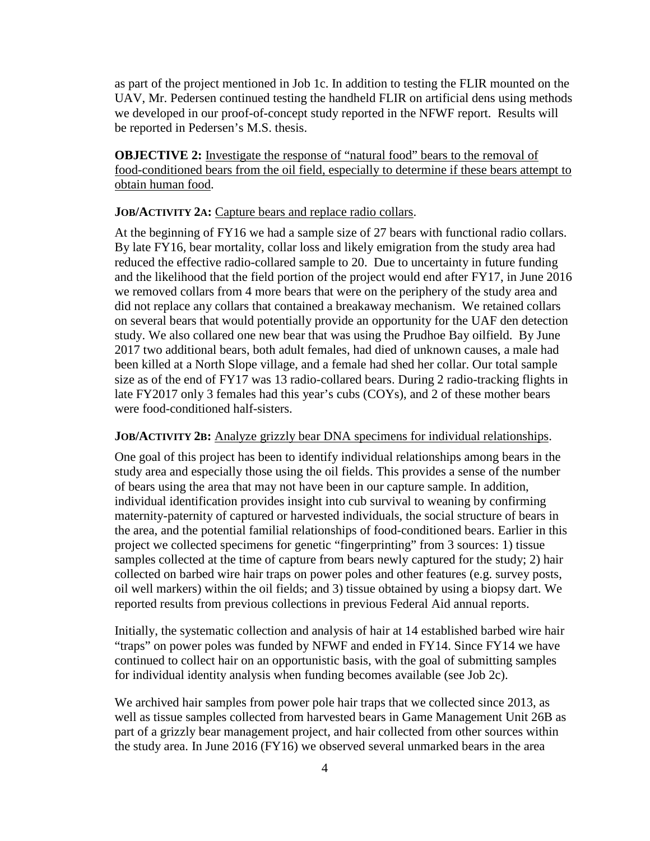as part of the project mentioned in Job 1c. In addition to testing the FLIR mounted on the UAV, Mr. Pedersen continued testing the handheld FLIR on artificial dens using methods we developed in our proof-of-concept study reported in the NFWF report. Results will be reported in Pedersen's M.S. thesis.

**OBJECTIVE 2:** Investigate the response of "natural food" bears to the removal of food-conditioned bears from the oil field, especially to determine if these bears attempt to obtain human food.

**JOB/ACTIVITY 2A:** Capture bears and replace radio collars.

At the beginning of FY16 we had a sample size of 27 bears with functional radio collars. By late FY16, bear mortality, collar loss and likely emigration from the study area had reduced the effective radio-collared sample to 20. Due to uncertainty in future funding and the likelihood that the field portion of the project would end after FY17, in June 2016 we removed collars from 4 more bears that were on the periphery of the study area and did not replace any collars that contained a breakaway mechanism. We retained collars on several bears that would potentially provide an opportunity for the UAF den detection study. We also collared one new bear that was using the Prudhoe Bay oilfield. By June 2017 two additional bears, both adult females, had died of unknown causes, a male had been killed at a North Slope village, and a female had shed her collar. Our total sample size as of the end of FY17 was 13 radio-collared bears. During 2 radio-tracking flights in late FY2017 only 3 females had this year's cubs (COYs), and 2 of these mother bears were food-conditioned half-sisters.

#### **JOB/ACTIVITY 2B:** Analyze grizzly bear DNA specimens for individual relationships.

One goal of this project has been to identify individual relationships among bears in the study area and especially those using the oil fields. This provides a sense of the number of bears using the area that may not have been in our capture sample. In addition, individual identification provides insight into cub survival to weaning by confirming maternity-paternity of captured or harvested individuals, the social structure of bears in the area, and the potential familial relationships of food-conditioned bears. Earlier in this project we collected specimens for genetic "fingerprinting" from 3 sources: 1) tissue samples collected at the time of capture from bears newly captured for the study; 2) hair collected on barbed wire hair traps on power poles and other features (e.g. survey posts, oil well markers) within the oil fields; and 3) tissue obtained by using a biopsy dart. We reported results from previous collections in previous Federal Aid annual reports.

Initially, the systematic collection and analysis of hair at 14 established barbed wire hair "traps" on power poles was funded by NFWF and ended in FY14. Since FY14 we have continued to collect hair on an opportunistic basis, with the goal of submitting samples for individual identity analysis when funding becomes available (see Job 2c).

We archived hair samples from power pole hair traps that we collected since 2013, as well as tissue samples collected from harvested bears in Game Management Unit 26B as part of a grizzly bear management project, and hair collected from other sources within the study area. In June 2016 (FY16) we observed several unmarked bears in the area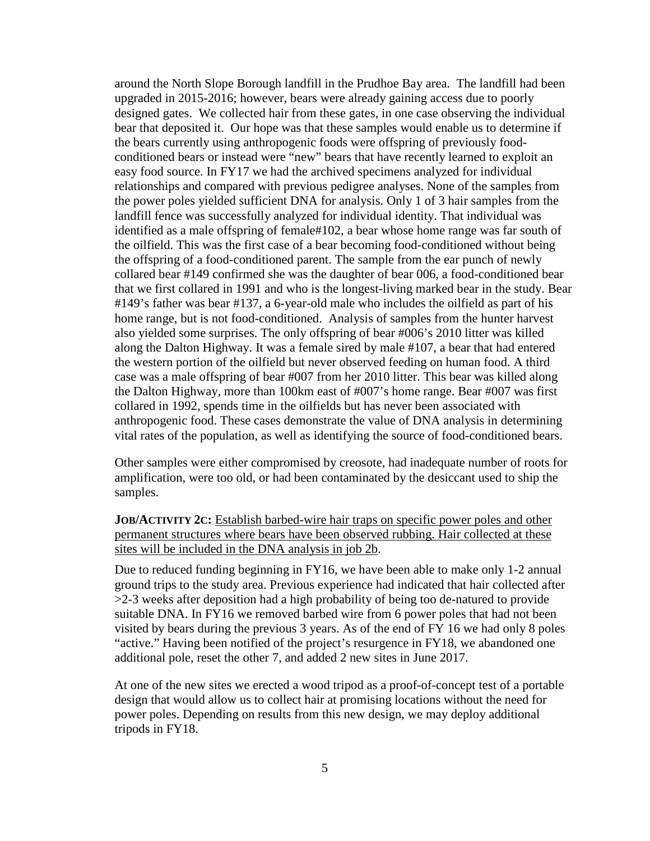around the North Slope Borough landfill in the Prudhoe Bay area. The landfill had been upgraded in 2015-2016; however, bears were already gaining access due to poorly designed gates. We collected hair from these gates, in one case observing the individual bear that deposited it. Our hope was that these samples would enable us to determine if the bears currently using anthropogenic foods were offspring of previously foodconditioned bears or instead were "new" bears that have recently learned to exploit an easy food source. In FY17 we had the archived specimens analyzed for individual relationships and compared with previous pedigree analyses. None of the samples from the power poles yielded sufficient DNA for analysis. Only 1 of 3 hair samples from the landfill fence was successfully analyzed for individual identity. That individual was identified as a male offspring of female#102, a bear whose home range was far south of the oilfield. This was the first case of a bear becoming food-conditioned without being the offspring of a food-conditioned parent. The sample from the ear punch of newly collared bear #149 confirmed she was the daughter of bear 006, a food-conditioned bear that we first collared in 1991 and who is the longest-living marked bear in the study. Bear #149's father was bear #137, a 6-year-old male who includes the oilfield as part of his home range, but is not food-conditioned. Analysis of samples from the hunter harvest also yielded some surprises. The only offspring of bear #006's 2010 litter was killed along the Dalton Highway. It was a female sired by male #107, a bear that had entered the western portion of the oilfield but never observed feeding on human food. A third case was a male offspring of bear #007 from her 2010 litter. This bear was killed along the Dalton Highway, more than 100km east of #007's home range. Bear #007 was first collared in 1992, spends time in the oilfields but has never been associated with anthropogenic food. These cases demonstrate the value of DNA analysis in determining vital rates of the population, as well as identifying the source of food-conditioned bears.

Other samples were either compromised by creosote, had inadequate number of roots for amplification, were too old, or had been contaminated by the desiccant used to ship the samples.

# **JOB/ACTIVITY 2C:** Establish barbed-wire hair traps on specific power poles and other permanent structures where bears have been observed rubbing. Hair collected at these sites will be included in the DNA analysis in job 2b.

Due to reduced funding beginning in FY16, we have been able to make only 1-2 annual ground trips to the study area. Previous experience had indicated that hair collected after >2-3 weeks after deposition had a high probability of being too de-natured to provide suitable DNA. In FY16 we removed barbed wire from 6 power poles that had not been visited by bears during the previous 3 years. As of the end of FY 16 we had only 8 poles "active." Having been notified of the project's resurgence in FY18, we abandoned one additional pole, reset the other 7, and added 2 new sites in June 2017.

At one of the new sites we erected a wood tripod as a proof-of-concept test of a portable design that would allow us to collect hair at promising locations without the need for power poles. Depending on results from this new design, we may deploy additional tripods in FY18.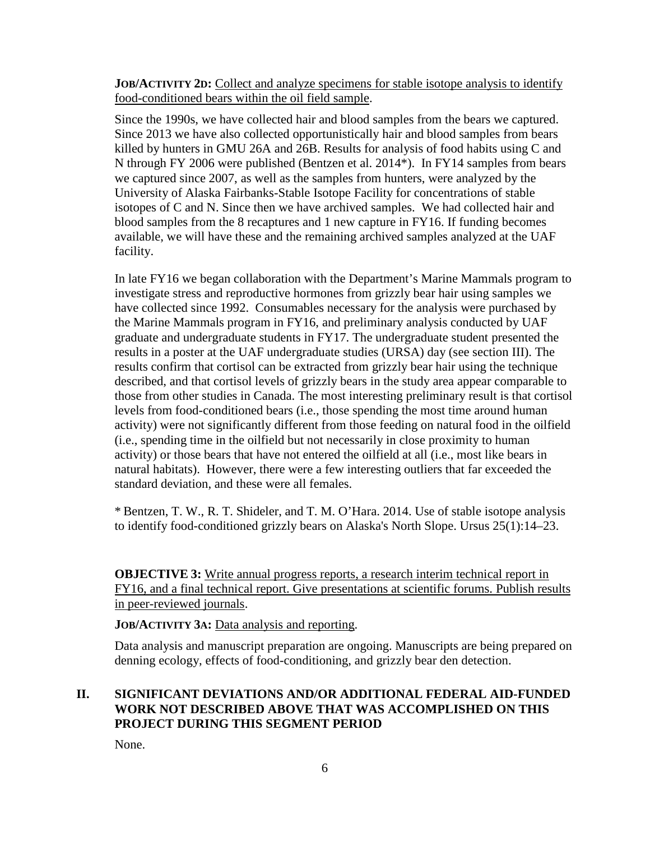**JOB/ACTIVITY 2D:** Collect and analyze specimens for stable isotope analysis to identify food-conditioned bears within the oil field sample.

Since the 1990s, we have collected hair and blood samples from the bears we captured. Since 2013 we have also collected opportunistically hair and blood samples from bears killed by hunters in GMU 26A and 26B. Results for analysis of food habits using C and N through FY 2006 were published (Bentzen et al. 2014\*). In FY14 samples from bears we captured since 2007, as well as the samples from hunters, were analyzed by the University of Alaska Fairbanks-Stable Isotope Facility for concentrations of stable isotopes of C and N. Since then we have archived samples. We had collected hair and blood samples from the 8 recaptures and 1 new capture in FY16. If funding becomes available, we will have these and the remaining archived samples analyzed at the UAF facility.

In late FY16 we began collaboration with the Department's Marine Mammals program to investigate stress and reproductive hormones from grizzly bear hair using samples we have collected since 1992. Consumables necessary for the analysis were purchased by the Marine Mammals program in FY16, and preliminary analysis conducted by UAF graduate and undergraduate students in FY17. The undergraduate student presented the results in a poster at the UAF undergraduate studies (URSA) day (see section III). The results confirm that cortisol can be extracted from grizzly bear hair using the technique described, and that cortisol levels of grizzly bears in the study area appear comparable to those from other studies in Canada. The most interesting preliminary result is that cortisol levels from food-conditioned bears (i.e., those spending the most time around human activity) were not significantly different from those feeding on natural food in the oilfield (i.e., spending time in the oilfield but not necessarily in close proximity to human activity) or those bears that have not entered the oilfield at all (i.e., most like bears in natural habitats). However, there were a few interesting outliers that far exceeded the standard deviation, and these were all females.

\* Bentzen, T. W., R. T. Shideler, and T. M. O'Hara. 2014. Use of stable isotope analysis to identify food-conditioned grizzly bears on Alaska's North Slope. Ursus 25(1):14–23.

**OBJECTIVE 3:** Write annual progress reports, a research interim technical report in FY16, and a final technical report. Give presentations at scientific forums. Publish results in peer-reviewed journals.

**JOB/ACTIVITY 3A:** Data analysis and reporting.

Data analysis and manuscript preparation are ongoing. Manuscripts are being prepared on denning ecology, effects of food-conditioning, and grizzly bear den detection.

# **II. SIGNIFICANT DEVIATIONS AND/OR ADDITIONAL FEDERAL AID-FUNDED WORK NOT DESCRIBED ABOVE THAT WAS ACCOMPLISHED ON THIS PROJECT DURING THIS SEGMENT PERIOD**

None.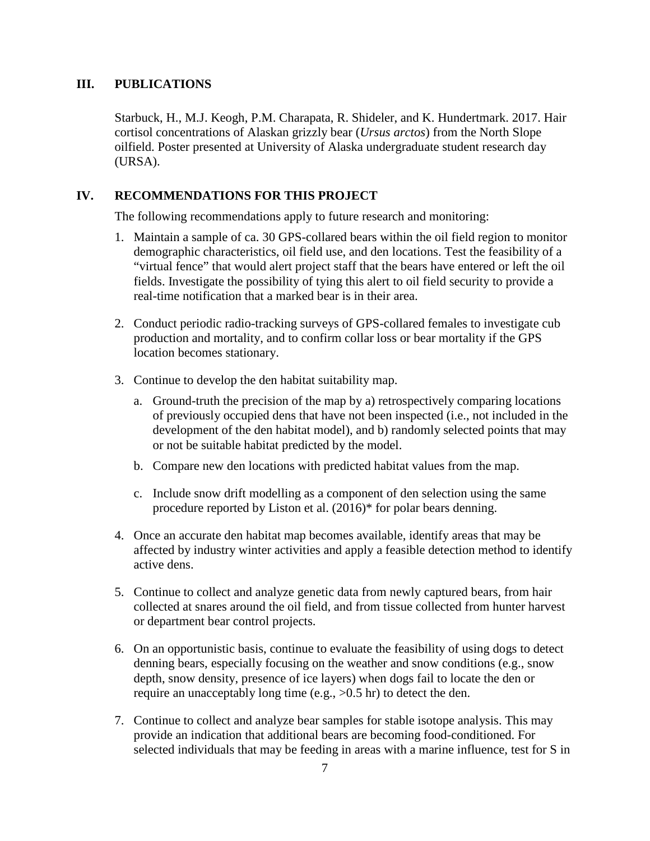#### **III. PUBLICATIONS**

Starbuck, H., M.J. Keogh, P.M. Charapata, R. Shideler, and K. Hundertmark. 2017. Hair cortisol concentrations of Alaskan grizzly bear (*Ursus arctos*) from the North Slope oilfield. Poster presented at University of Alaska undergraduate student research day (URSA).

#### **IV. RECOMMENDATIONS FOR THIS PROJECT**

The following recommendations apply to future research and monitoring:

- 1. Maintain a sample of ca. 30 GPS-collared bears within the oil field region to monitor demographic characteristics, oil field use, and den locations. Test the feasibility of a "virtual fence" that would alert project staff that the bears have entered or left the oil fields. Investigate the possibility of tying this alert to oil field security to provide a real-time notification that a marked bear is in their area.
- 2. Conduct periodic radio-tracking surveys of GPS-collared females to investigate cub production and mortality, and to confirm collar loss or bear mortality if the GPS location becomes stationary.
- 3. Continue to develop the den habitat suitability map.
	- a. Ground-truth the precision of the map by a) retrospectively comparing locations of previously occupied dens that have not been inspected (i.e., not included in the development of the den habitat model), and b) randomly selected points that may or not be suitable habitat predicted by the model.
	- b. Compare new den locations with predicted habitat values from the map.
	- c. Include snow drift modelling as a component of den selection using the same procedure reported by Liston et al. (2016)\* for polar bears denning.
- 4. Once an accurate den habitat map becomes available, identify areas that may be affected by industry winter activities and apply a feasible detection method to identify active dens.
- 5. Continue to collect and analyze genetic data from newly captured bears, from hair collected at snares around the oil field, and from tissue collected from hunter harvest or department bear control projects.
- 6. On an opportunistic basis, continue to evaluate the feasibility of using dogs to detect denning bears, especially focusing on the weather and snow conditions (e.g., snow depth, snow density, presence of ice layers) when dogs fail to locate the den or require an unacceptably long time (e.g., >0.5 hr) to detect the den.
- 7. Continue to collect and analyze bear samples for stable isotope analysis. This may provide an indication that additional bears are becoming food-conditioned. For selected individuals that may be feeding in areas with a marine influence, test for S in